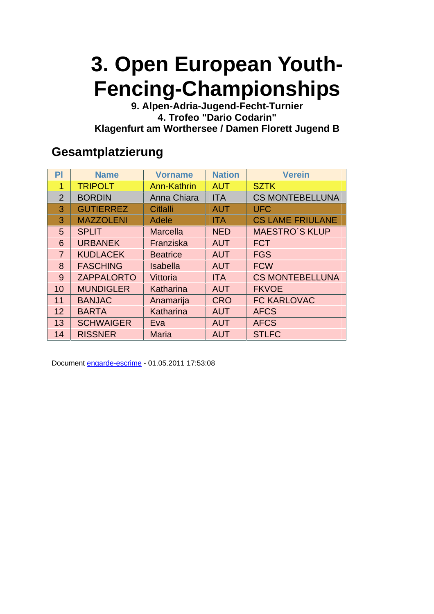**9. Alpen-Adria-Jugend-Fecht-Turnier 4. Trofeo "Dario Codarin" Klagenfurt am Worthersee / Damen Florett Jugend B** 

#### **Gesamtplatzierung**

| PI             | <b>Name</b>       | <b>Vorname</b>     | <b>Nation</b> | <b>Verein</b>           |
|----------------|-------------------|--------------------|---------------|-------------------------|
| 1              | <b>TRIPOLT</b>    | <b>Ann-Kathrin</b> | <b>AUT</b>    | <b>SZTK</b>             |
| $\overline{2}$ | <b>BORDIN</b>     | Anna Chiara        | <b>ITA</b>    | <b>CS MONTEBELLUNA</b>  |
| 3              | <b>GUTIERREZ</b>  | Citlalli           | <b>AUT</b>    | <b>UFC</b>              |
| 3              | <b>MAZZOLENI</b>  | Adele              | <b>ITA</b>    | <b>CS LAME FRIULANE</b> |
| 5              | <b>SPLIT</b>      | <b>Marcella</b>    | <b>NED</b>    | <b>MAESTRO'S KLUP</b>   |
| 6              | <b>URBANEK</b>    | Franziska          | <b>AUT</b>    | <b>FCT</b>              |
| $\overline{7}$ | <b>KUDLACEK</b>   | <b>Beatrice</b>    | <b>AUT</b>    | <b>FGS</b>              |
| 8              | <b>FASCHING</b>   | <b>Isabella</b>    | <b>AUT</b>    | <b>FCW</b>              |
| 9              | <b>ZAPPALORTO</b> | Vittoria           | <b>ITA</b>    | <b>CS MONTEBELLUNA</b>  |
| 10             | <b>MUNDIGLER</b>  | Katharina          | <b>AUT</b>    | <b>FKVOE</b>            |
| 11             | <b>BANJAC</b>     | Anamarija          | <b>CRO</b>    | <b>FC KARLOVAC</b>      |
| 12             | <b>BARTA</b>      | Katharina          | <b>AUT</b>    | <b>AFCS</b>             |
| 13             | <b>SCHWAIGER</b>  | Eva                | <b>AUT</b>    | <b>AFCS</b>             |
| 14             | <b>RISSNER</b>    | <b>Maria</b>       | <b>AUT</b>    | <b>STLFC</b>            |

Document engarde-escrime - 01.05.2011 17:53:08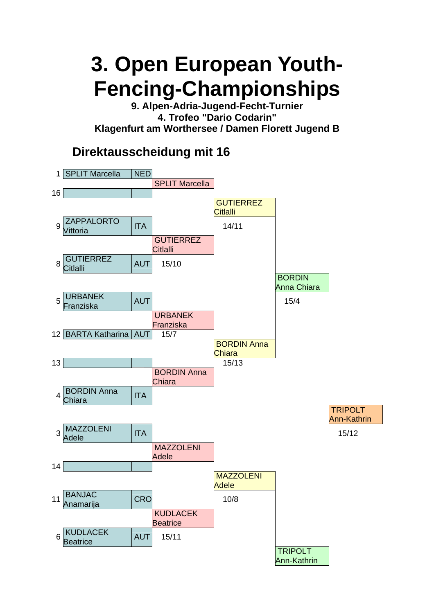**9. Alpen-Adria-Jugend-Fecht-Turnier 4. Trofeo "Dario Codarin" Klagenfurt am Worthersee / Damen Florett Jugend B** 

### **Direktausscheidung mit 16**

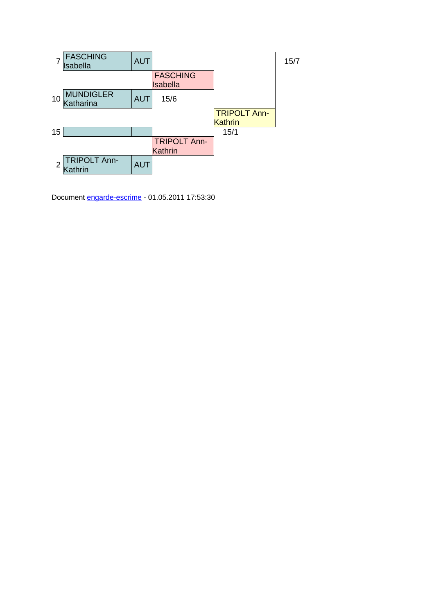

Document engarde-escrime - 01.05.2011 17:53:30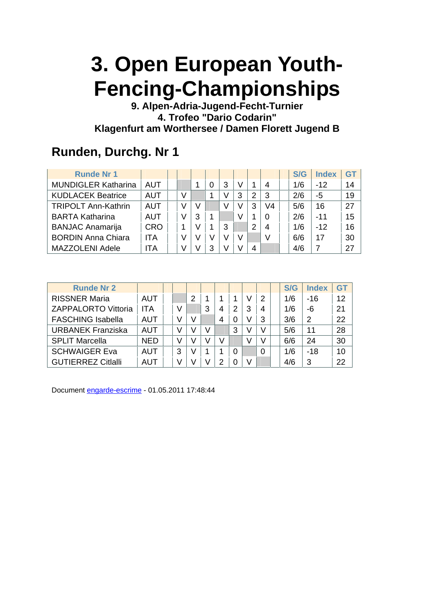**9. Alpen-Adria-Jugend-Fecht-Turnier 4. Trofeo "Dario Codarin" Klagenfurt am Worthersee / Damen Florett Jugend B** 

### **Runden, Durchg. Nr 1**

| <b>Runde Nr 1</b>          |            |   |   |   |   |   |   |    | S/G | <b>Index</b> | G1 |
|----------------------------|------------|---|---|---|---|---|---|----|-----|--------------|----|
| <b>MUNDIGLER Katharina</b> | AUT        |   |   |   | 3 | V |   | 4  | 1/6 | $-12$        | 14 |
| <b>KUDLACEK Beatrice</b>   | <b>AUT</b> | V |   |   | V | 3 | 2 | 3  | 2/6 | -5           | 19 |
| <b>TRIPOLT Ann-Kathrin</b> | AUT        | v |   |   | V | V | 3 | V4 | 5/6 | 16           | 27 |
| <b>BARTA Katharina</b>     | AUT        | V | З |   |   | V |   | 0  | 2/6 | $-11$        | 15 |
| <b>BANJAC Anamarija</b>    | <b>CRO</b> |   |   |   | 3 |   | 2 | 4  | 1/6 | $-12$        | 16 |
| <b>BORDIN Anna Chiara</b>  | ITA        | V |   |   | V | V |   | V  | 6/6 | 17           | 30 |
| <b>MAZZOLENI Adele</b>     | ITA        | V |   | 3 |   |   | 4 |    | 4/6 |              | 27 |

| <b>Runde Nr 2</b>          |            |   |   |   |   |   |   |   | S/G | <b>Index</b> | GT |
|----------------------------|------------|---|---|---|---|---|---|---|-----|--------------|----|
| <b>RISSNER Maria</b>       | AUT        |   | 2 |   |   |   |   | 2 | 1/6 | $-16$        | 12 |
| <b>ZAPPALORTO Vittoria</b> | ITA        |   |   | 3 | 4 | 2 | 3 | 4 | 1/6 | -6           | 21 |
| <b>FASCHING Isabella</b>   | AUT        |   |   |   | 4 | 0 |   | 3 | 3/6 | 2            | 22 |
| <b>URBANEK Franziska</b>   | AUT        |   |   |   |   | 3 |   |   | 5/6 | 11           | 28 |
| <b>SPLIT Marcella</b>      | <b>NED</b> |   |   |   | V |   |   |   | 6/6 | 24           | 30 |
| <b>SCHWAIGER Eva</b>       | AUT        | 3 |   |   |   | 0 |   |   | 1/6 | $-18$        | 10 |
| <b>GUTIERREZ Citialli</b>  | AUT        |   |   |   | ႒ |   |   |   | 4/6 | 3            | 22 |

Document engarde-escrime - 01.05.2011 17:48:44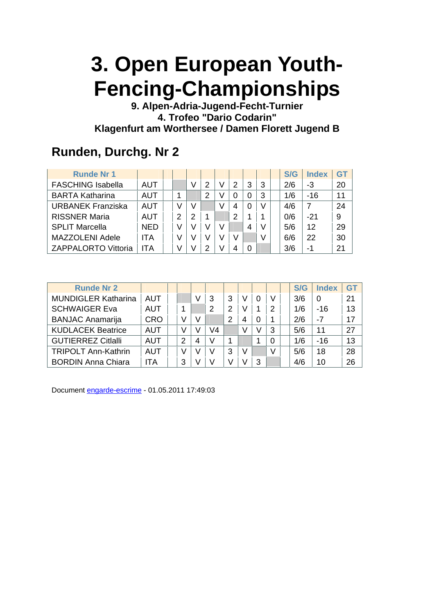**9. Alpen-Adria-Jugend-Fecht-Turnier 4. Trofeo "Dario Codarin" Klagenfurt am Worthersee / Damen Florett Jugend B** 

### **Runden, Durchg. Nr 2**

| <b>Runde Nr 1</b>          |            |   |   |   |   |   |   | S/G | <b>Index</b> | GT |
|----------------------------|------------|---|---|---|---|---|---|-----|--------------|----|
| <b>FASCHING Isabella</b>   | AUT        |   |   | 2 | 2 | 3 | 3 | 2/6 | -3           | 20 |
| <b>BARTA Katharina</b>     | <b>AUT</b> |   |   | 2 | 0 |   | 3 | 1/6 | $-16$        | 11 |
| <b>URBANEK Franziska</b>   | AUT        | V |   |   | 4 |   |   | 4/6 | 7            | 24 |
| <b>RISSNER Maria</b>       | AUT        | 2 | 2 |   | 2 |   |   | 0/6 | $-21$        | 9  |
| <b>SPLIT Marcella</b>      | <b>NED</b> | V |   |   |   | 4 |   | 5/6 | 12           | 29 |
| <b>MAZZOLENI Adele</b>     | <b>ITA</b> |   |   |   | V |   |   | 6/6 | 22           | 30 |
| <b>ZAPPALORTO Vittoria</b> | <b>ITA</b> |   |   | າ | 4 |   |   | 3/6 | -1           | 21 |

| <b>Runde Nr 2</b>          |            |   |   |    |   |   |          |   | S/G | <b>Index</b> | GT |
|----------------------------|------------|---|---|----|---|---|----------|---|-----|--------------|----|
| <b>MUNDIGLER Katharina</b> | AUT        |   | V |    | 3 |   | $\Omega$ | V | 3/6 | 0            | 21 |
| <b>SCHWAIGER Eva</b>       | AUT        |   |   |    | 2 |   | 1        | 2 | 1/6 | -16          | 13 |
| <b>BANJAC Anamarija</b>    | <b>CRO</b> |   | V |    | 2 | 4 | 0        |   | 2/6 | -7           | 17 |
| <b>KUDLACEK Beatrice</b>   | AUT        |   |   | V4 |   |   | V        | 3 | 5/6 | 11           | 27 |
| <b>GUTIERREZ Citlalli</b>  | AUT        | 2 | 4 |    |   |   |          | 0 | 1/6 | -16          | 13 |
| <b>TRIPOLT Ann-Kathrin</b> | AUT        |   |   |    | 3 |   |          | V | 5/6 | 18           | 28 |
| <b>BORDIN Anna Chiara</b>  | ITA        | 3 |   |    |   |   | 3        |   | 4/6 | 10           | 26 |

Document engarde-escrime - 01.05.2011 17:49:03